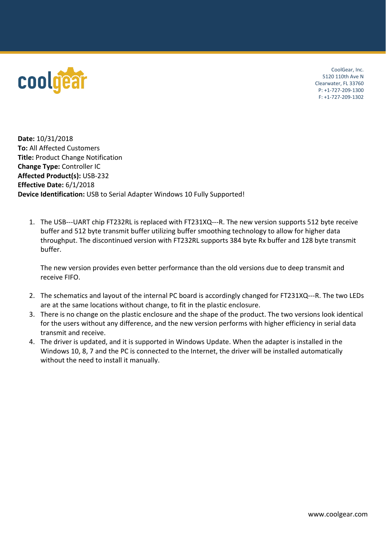

CoolGear, Inc. 5120 110th Ave N Clearwater, FL 33760 P: +1-727-209-1300 F: +1-727-209-1302

**Date:** 10/31/2018 **To:** All Affected Customers **Title:** Product Change Notification **Change Type:** Controller IC **Affected Product(s):** USB-232 **Effective Date:** 6/1/2018 **Device Identification:** USB to Serial Adapter Windows 10 Fully Supported!

1. The USB---UART chip FT232RL is replaced with FT231XQ---R. The new version supports 512 byte receive buffer and 512 byte transmit buffer utilizing buffer smoothing technology to allow for higher data throughput. The discontinued version with FT232RL supports 384 byte Rx buffer and 128 byte transmit buffer.

The new version provides even better performance than the old versions due to deep transmit and receive FIFO.

- 2. The schematics and layout of the internal PC board is accordingly changed for FT231XQ---R. The two LEDs are at the same locations without change, to fit in the plastic enclosure.
- 3. There is no change on the plastic enclosure and the shape of the product. The two versions look identical for the users without any difference, and the new version performs with higher efficiency in serial data transmit and receive.
- 4. The driver is updated, and it is supported in Windows Update. When the adapter is installed in the Windows 10, 8, 7 and the PC is connected to the Internet, the driver will be installed automatically without the need to install it manually.